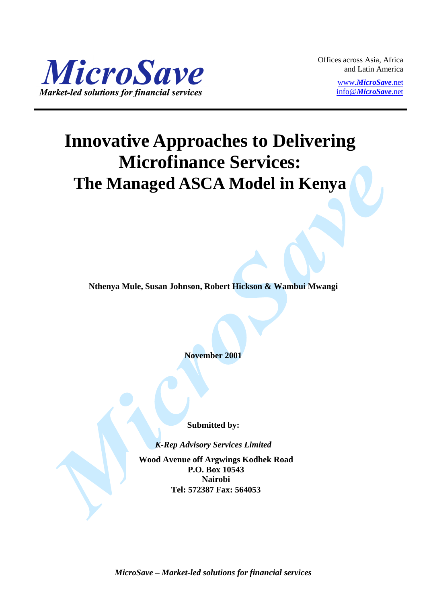

Offices across Asia, Africa and Latin America

> www.*[MicroSave](http://www.microsave.net/)*.net info@*[MicroSave](mailto:info@MicroSave.net)*.net

# **Innovative Approaches to Delivering Microfinance Services: The Managed ASCA Model in Kenya**

**Nthenya Mule, Susan Johnson, Robert Hickson & Wambui Mwangi**

**November 2001**

**Submitted by:**

*K-Rep Advisory Services Limited*

**Wood Avenue off Argwings Kodhek Road P.O. Box 10543 Nairobi Tel: 572387 Fax: 564053**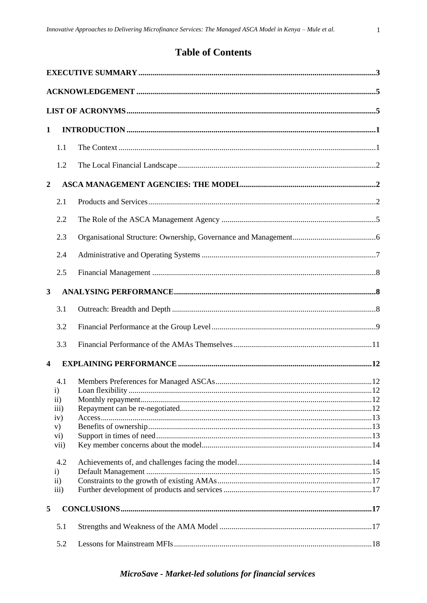$\mathbf{1}$ 

# **Table of Contents**

| 1                |                                                        |  |
|------------------|--------------------------------------------------------|--|
|                  | 1.1                                                    |  |
|                  | 1.2                                                    |  |
| $\boldsymbol{2}$ |                                                        |  |
|                  | 2.1                                                    |  |
|                  | 2.2                                                    |  |
|                  | 2.3                                                    |  |
|                  | 2.4                                                    |  |
|                  | 2.5                                                    |  |
| $\mathbf{3}$     |                                                        |  |
|                  | 3.1                                                    |  |
|                  | 3.2                                                    |  |
|                  | 3.3                                                    |  |
| 4                |                                                        |  |
|                  | 4.1<br>$\mathbf{i}$                                    |  |
|                  | $\rm ii)$<br>$\overline{iii}$                          |  |
|                  | iv)<br>V)<br>vi)<br>vii)                               |  |
|                  | 4.2<br>$\mathbf{i}$<br>$\rm ii)$<br>$\overline{iii}$ ) |  |
| 5                |                                                        |  |
|                  | 5.1                                                    |  |
|                  | 5.2                                                    |  |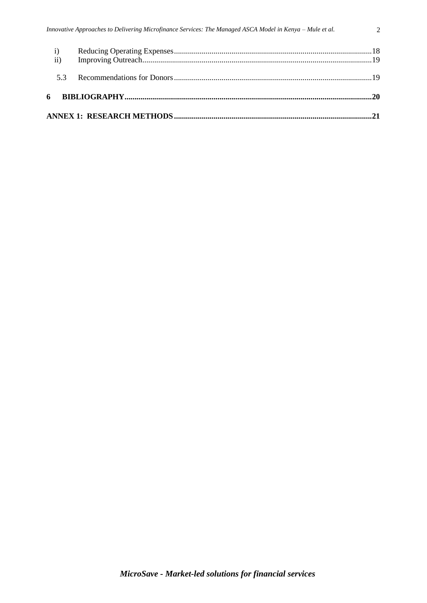| 53 |  |
|----|--|
|    |  |
|    |  |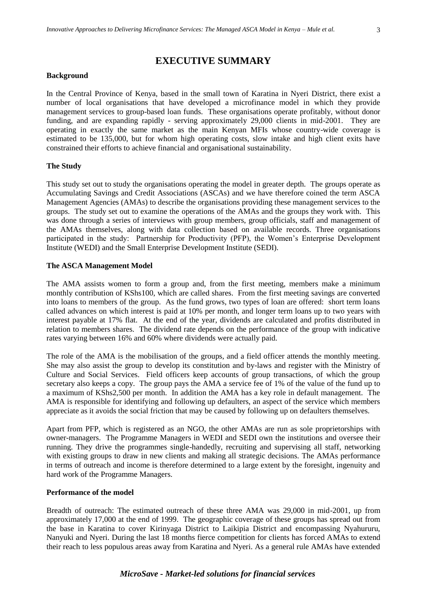# **EXECUTIVE SUMMARY**

#### <span id="page-3-0"></span>**Background**

In the Central Province of Kenya, based in the small town of Karatina in Nyeri District, there exist a number of local organisations that have developed a microfinance model in which they provide management services to group-based loan funds. These organisations operate profitably, without donor funding, and are expanding rapidly - serving approximately 29,000 clients in mid-2001. They are operating in exactly the same market as the main Kenyan MFIs whose country-wide coverage is estimated to be 135,000, but for whom high operating costs, slow intake and high client exits have constrained their efforts to achieve financial and organisational sustainability.

#### **The Study**

This study set out to study the organisations operating the model in greater depth. The groups operate as Accumulating Savings and Credit Associations (ASCAs) and we have therefore coined the term ASCA Management Agencies (AMAs) to describe the organisations providing these management services to the groups. The study set out to examine the operations of the AMAs and the groups they work with. This was done through a series of interviews with group members, group officials, staff and management of the AMAs themselves, along with data collection based on available records. Three organisations participated in the study: Partnership for Productivity (PFP), the Women's Enterprise Development Institute (WEDI) and the Small Enterprise Development Institute (SEDI).

#### **The ASCA Management Model**

The AMA assists women to form a group and, from the first meeting, members make a minimum monthly contribution of KShs100, which are called shares. From the first meeting savings are converted into loans to members of the group. As the fund grows, two types of loan are offered: short term loans called advances on which interest is paid at 10% per month, and longer term loans up to two years with interest payable at 17% flat. At the end of the year, dividends are calculated and profits distributed in relation to members shares. The dividend rate depends on the performance of the group with indicative rates varying between 16% and 60% where dividends were actually paid.

The role of the AMA is the mobilisation of the groups, and a field officer attends the monthly meeting. She may also assist the group to develop its constitution and by-laws and register with the Ministry of Culture and Social Services. Field officers keep accounts of group transactions, of which the group secretary also keeps a copy. The group pays the AMA a service fee of 1% of the value of the fund up to a maximum of KShs2,500 per month. In addition the AMA has a key role in default management. The AMA is responsible for identifying and following up defaulters, an aspect of the service which members appreciate as it avoids the social friction that may be caused by following up on defaulters themselves.

Apart from PFP, which is registered as an NGO, the other AMAs are run as sole proprietorships with owner-managers. The Programme Managers in WEDI and SEDI own the institutions and oversee their running. They drive the programmes single-handedly, recruiting and supervising all staff, networking with existing groups to draw in new clients and making all strategic decisions. The AMAs performance in terms of outreach and income is therefore determined to a large extent by the foresight, ingenuity and hard work of the Programme Managers.

#### **Performance of the model**

Breadth of outreach: The estimated outreach of these three AMA was 29,000 in mid-2001, up from approximately 17,000 at the end of 1999. The geographic coverage of these groups has spread out from the base in Karatina to cover Kirinyaga District to Laikipia District and encompassing Nyahururu, Nanyuki and Nyeri. During the last 18 months fierce competition for clients has forced AMAs to extend their reach to less populous areas away from Karatina and Nyeri. As a general rule AMAs have extended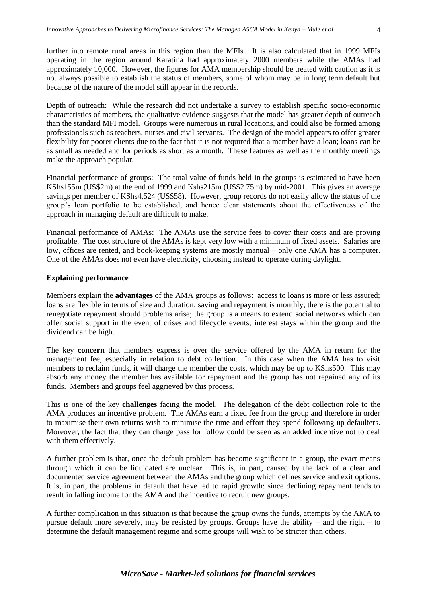further into remote rural areas in this region than the MFIs. It is also calculated that in 1999 MFIs operating in the region around Karatina had approximately 2000 members while the AMAs had approximately 10,000. However, the figures for AMA membership should be treated with caution as it is not always possible to establish the status of members, some of whom may be in long term default but because of the nature of the model still appear in the records.

Depth of outreach: While the research did not undertake a survey to establish specific socio-economic characteristics of members, the qualitative evidence suggests that the model has greater depth of outreach than the standard MFI model. Groups were numerous in rural locations, and could also be formed among professionals such as teachers, nurses and civil servants. The design of the model appears to offer greater flexibility for poorer clients due to the fact that it is not required that a member have a loan; loans can be as small as needed and for periods as short as a month. These features as well as the monthly meetings make the approach popular.

Financial performance of groups:The total value of funds held in the groups is estimated to have been KShs155m (US\$2m) at the end of 1999 and Kshs215m (US\$2.75m) by mid-2001. This gives an average savings per member of KShs4,524 (US\$58). However, group records do not easily allow the status of the group's loan portfolio to be established, and hence clear statements about the effectiveness of the approach in managing default are difficult to make.

Financial performance of AMAs: The AMAs use the service fees to cover their costs and are proving profitable. The cost structure of the AMAs is kept very low with a minimum of fixed assets. Salaries are low, offices are rented, and book-keeping systems are mostly manual – only one AMA has a computer. One of the AMAs does not even have electricity, choosing instead to operate during daylight.

## **Explaining performance**

Members explain the **advantages** of the AMA groups as follows: access to loans is more or less assured; loans are flexible in terms of size and duration; saving and repayment is monthly; there is the potential to renegotiate repayment should problems arise; the group is a means to extend social networks which can offer social support in the event of crises and lifecycle events; interest stays within the group and the dividend can be high.

The key **concern** that members express is over the service offered by the AMA in return for the management fee, especially in relation to debt collection. In this case when the AMA has to visit members to reclaim funds, it will charge the member the costs, which may be up to KShs500. This may absorb any money the member has available for repayment and the group has not regained any of its funds. Members and groups feel aggrieved by this process.

This is one of the key **challenges** facing the model. The delegation of the debt collection role to the AMA produces an incentive problem. The AMAs earn a fixed fee from the group and therefore in order to maximise their own returns wish to minimise the time and effort they spend following up defaulters. Moreover, the fact that they can charge pass for follow could be seen as an added incentive not to deal with them effectively.

A further problem is that, once the default problem has become significant in a group, the exact means through which it can be liquidated are unclear. This is, in part, caused by the lack of a clear and documented service agreement between the AMAs and the group which defines service and exit options. It is, in part, the problems in default that have led to rapid growth: since declining repayment tends to result in falling income for the AMA and the incentive to recruit new groups.

A further complication in this situation is that because the group owns the funds, attempts by the AMA to pursue default more severely, may be resisted by groups. Groups have the ability – and the right – to determine the default management regime and some groups will wish to be stricter than others.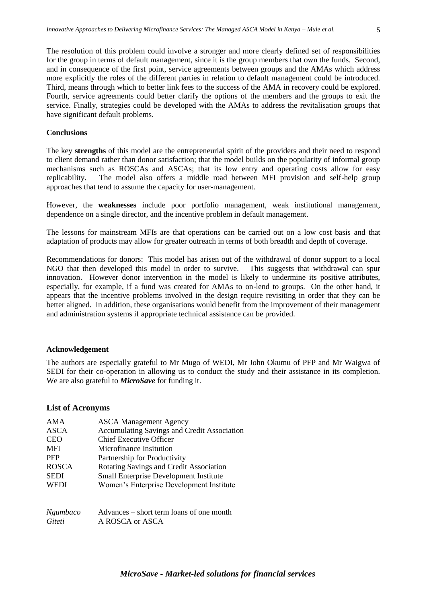The resolution of this problem could involve a stronger and more clearly defined set of responsibilities for the group in terms of default management, since it is the group members that own the funds. Second, and in consequence of the first point, service agreements between groups and the AMAs which address more explicitly the roles of the different parties in relation to default management could be introduced. Third, means through which to better link fees to the success of the AMA in recovery could be explored. Fourth, service agreements could better clarify the options of the members and the groups to exit the service. Finally, strategies could be developed with the AMAs to address the revitalisation groups that have significant default problems.

#### **Conclusions**

The key **strengths** of this model are the entrepreneurial spirit of the providers and their need to respond to client demand rather than donor satisfaction; that the model builds on the popularity of informal group mechanisms such as ROSCAs and ASCAs; that its low entry and operating costs allow for easy replicability. The model also offers a middle road between MFI provision and self-help group approaches that tend to assume the capacity for user-management.

However, the **weaknesses** include poor portfolio management, weak institutional management, dependence on a single director, and the incentive problem in default management.

The lessons for mainstream MFIs are that operations can be carried out on a low cost basis and that adaptation of products may allow for greater outreach in terms of both breadth and depth of coverage.

Recommendations for donors: This model has arisen out of the withdrawal of donor support to a local NGO that then developed this model in order to survive. This suggests that withdrawal can spur innovation. However donor intervention in the model is likely to undermine its positive attributes, especially, for example, if a fund was created for AMAs to on-lend to groups. On the other hand, it appears that the incentive problems involved in the design require revisiting in order that they can be better aligned. In addition, these organisations would benefit from the improvement of their management and administration systems if appropriate technical assistance can be provided.

#### <span id="page-5-0"></span>**Acknowledgement**

The authors are especially grateful to Mr Mugo of WEDI, Mr John Okumu of PFP and Mr Waigwa of SEDI for their co-operation in allowing us to conduct the study and their assistance in its completion. We are also grateful to *MicroSave* for funding it.

#### <span id="page-5-1"></span>**List of Acronyms**

| AMA             | <b>ASCA Management Agency</b>                      |
|-----------------|----------------------------------------------------|
| ASCA            | <b>Accumulating Savings and Credit Association</b> |
| <b>CEO</b>      | <b>Chief Executive Officer</b>                     |
| <b>MFI</b>      | Microfinance Insitution                            |
| <b>PFP</b>      | Partnership for Productivity                       |
| <b>ROSCA</b>    | Rotating Savings and Credit Association            |
| <b>SEDI</b>     | Small Enterprise Development Institute             |
| <b>WEDI</b>     | Women's Enterprise Development Institute           |
|                 |                                                    |
| <i>Ngumbaco</i> | Advances – short term loans of one month           |

*Giteti* A ROSCA or ASCA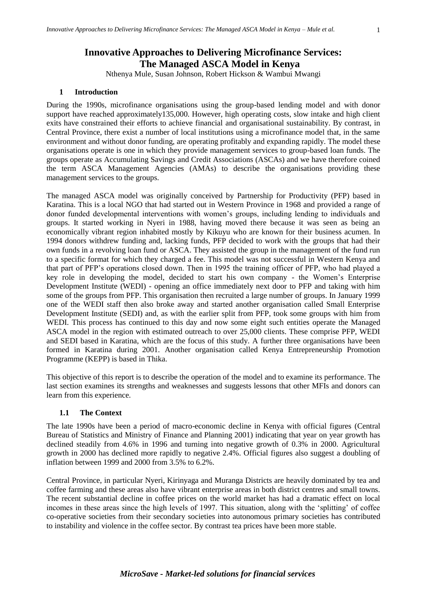# <span id="page-6-0"></span>**Innovative Approaches to Delivering Microfinance Services: The Managed ASCA Model in Kenya**

Nthenya Mule, Susan Johnson, Robert Hickson & Wambui Mwangi

#### **1 Introduction**

During the 1990s, microfinance organisations using the group-based lending model and with donor support have reached approximately 135,000. However, high operating costs, slow intake and high client exits have constrained their efforts to achieve financial and organisational sustainability. By contrast, in Central Province, there exist a number of local institutions using a microfinance model that, in the same environment and without donor funding, are operating profitably and expanding rapidly. The model these organisations operate is one in which they provide management services to group-based loan funds. The groups operate as Accumulating Savings and Credit Associations (ASCAs) and we have therefore coined the term ASCA Management Agencies (AMAs) to describe the organisations providing these management services to the groups.

The managed ASCA model was originally conceived by Partnership for Productivity (PFP) based in Karatina. This is a local NGO that had started out in Western Province in 1968 and provided a range of donor funded developmental interventions with women's groups, including lending to individuals and groups. It started working in Nyeri in 1988, having moved there because it was seen as being an economically vibrant region inhabited mostly by Kikuyu who are known for their business acumen. In 1994 donors withdrew funding and, lacking funds, PFP decided to work with the groups that had their own funds in a revolving loan fund or ASCA. They assisted the group in the management of the fund run to a specific format for which they charged a fee. This model was not successful in Western Kenya and that part of PFP's operations closed down. Then in 1995 the training officer of PFP, who had played a key role in developing the model, decided to start his own company - the Women's Enterprise Development Institute (WEDI) - opening an office immediately next door to PFP and taking with him some of the groups from PFP. This organisation then recruited a large number of groups. In January 1999 one of the WEDI staff then also broke away and started another organisation called Small Enterprise Development Institute (SEDI) and, as with the earlier split from PFP, took some groups with him from WEDI. This process has continued to this day and now some eight such entities operate the Managed ASCA model in the region with estimated outreach to over 25,000 clients. These comprise PFP, WEDI and SEDI based in Karatina, which are the focus of this study. A further three organisations have been formed in Karatina during 2001. Another organisation called Kenya Entrepreneurship Promotion Programme (KEPP) is based in Thika.

This objective of this report is to describe the operation of the model and to examine its performance. The last section examines its strengths and weaknesses and suggests lessons that other MFIs and donors can learn from this experience.

## <span id="page-6-1"></span>**1.1 The Context**

The late 1990s have been a period of macro-economic decline in Kenya with official figures (Central Bureau of Statistics and Ministry of Finance and Planning 2001) indicating that year on year growth has declined steadily from 4.6% in 1996 and turning into negative growth of 0.3% in 2000. Agricultural growth in 2000 has declined more rapidly to negative 2.4%. Official figures also suggest a doubling of inflation between 1999 and 2000 from 3.5% to 6.2%.

Central Province, in particular Nyeri, Kirinyaga and Muranga Districts are heavily dominated by tea and coffee farming and these areas also have vibrant enterprise areas in both district centres and small towns. The recent substantial decline in coffee prices on the world market has had a dramatic effect on local incomes in these areas since the high levels of 1997. This situation, along with the 'splitting' of coffee co-operative societies from their secondary societies into autonomous primary societies has contributed to instability and violence in the coffee sector. By contrast tea prices have been more stable.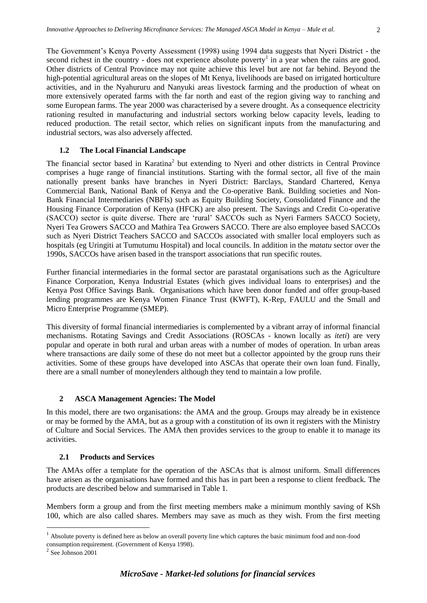The Government's Kenya Poverty Assessment (1998) using 1994 data suggests that Nyeri District - the second richest in the country - does not experience absolute poverty<sup>1</sup> in a year when the rains are good. Other districts of Central Province may not quite achieve this level but are not far behind. Beyond the high-potential agricultural areas on the slopes of Mt Kenya, livelihoods are based on irrigated horticulture activities, and in the Nyahururu and Nanyuki areas livestock farming and the production of wheat on more extensively operated farms with the far north and east of the region giving way to ranching and some European farms. The year 2000 was characterised by a severe drought. As a consequence electricity rationing resulted in manufacturing and industrial sectors working below capacity levels, leading to reduced production. The retail sector, which relies on significant inputs from the manufacturing and industrial sectors, was also adversely affected.

#### <span id="page-7-0"></span>**1.2 The Local Financial Landscape**

The financial sector based in Karatina<sup>2</sup> but extending to Nyeri and other districts in Central Province comprises a huge range of financial institutions. Starting with the formal sector, all five of the main nationally present banks have branches in Nyeri District: Barclays, Standard Chartered, Kenya Commercial Bank, National Bank of Kenya and the Co-operative Bank. Building societies and Non-Bank Financial Intermediaries (NBFIs) such as Equity Building Society, Consolidated Finance and the Housing Finance Corporation of Kenya (HFCK) are also present. The Savings and Credit Co-operative (SACCO) sector is quite diverse. There are 'rural' SACCOs such as Nyeri Farmers SACCO Society, Nyeri Tea Growers SACCO and Mathira Tea Growers SACCO. There are also employee based SACCOs such as Nyeri District Teachers SACCO and SACCOs associated with smaller local employers such as hospitals (eg Uringiti at Tumutumu Hospital) and local councils. In addition in the *matatu* sector over the 1990s, SACCOs have arisen based in the transport associations that run specific routes.

Further financial intermediaries in the formal sector are parastatal organisations such as the Agriculture Finance Corporation, Kenya Industrial Estates (which gives individual loans to enterprises) and the Kenya Post Office Savings Bank. Organisations which have been donor funded and offer group-based lending programmes are Kenya Women Finance Trust (KWFT), K-Rep, FAULU and the Small and Micro Enterprise Programme (SMEP).

This diversity of formal financial intermediaries is complemented by a vibrant array of informal financial mechanisms. Rotating Savings and Credit Associations (ROSCAs - known locally as *iteti*) are very popular and operate in both rural and urban areas with a number of modes of operation. In urban areas where transactions are daily some of these do not meet but a collector appointed by the group runs their activities. Some of these groups have developed into ASCAs that operate their own loan fund. Finally, there are a small number of moneylenders although they tend to maintain a low profile.

# <span id="page-7-1"></span>**2 ASCA Management Agencies: The Model**

In this model, there are two organisations: the AMA and the group. Groups may already be in existence or may be formed by the AMA, but as a group with a constitution of its own it registers with the Ministry of Culture and Social Services. The AMA then provides services to the group to enable it to manage its activities.

## <span id="page-7-2"></span>**2.1 Products and Services**

The AMAs offer a template for the operation of the ASCAs that is almost uniform. Small differences have arisen as the organisations have formed and this has in part been a response to client feedback. The products are described below and summarised in Table 1.

Members form a group and from the first meeting members make a minimum monthly saving of KSh 100, which are also called shares. Members may save as much as they wish. From the first meeting

 $\overline{a}$ 

<sup>&</sup>lt;sup>1</sup> Absolute poverty is defined here as below an overall poverty line which captures the basic minimum food and non-food consumption requirement. (Government of Kenya 1998).

<sup>2</sup> See Johnson 2001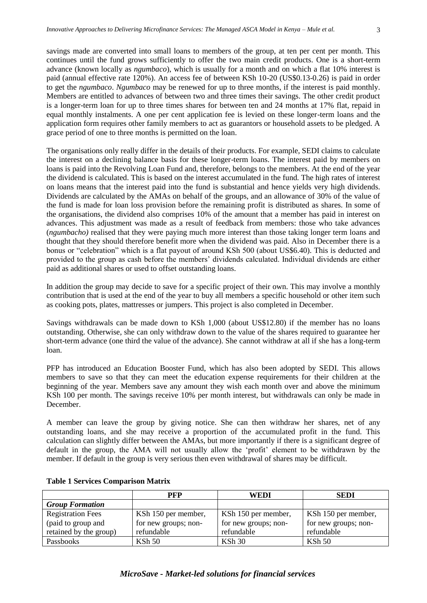savings made are converted into small loans to members of the group, at ten per cent per month. This continues until the fund grows sufficiently to offer the two main credit products. One is a short-term advance (known locally as *ngumbaco*), which is usually for a month and on which a flat 10% interest is paid (annual effective rate 120%). An access fee of between KSh 10-20 (US\$0.13-0.26) is paid in order to get the *ngumbaco*. *Ngumbaco* may be renewed for up to three months, if the interest is paid monthly. Members are entitled to advances of between two and three times their savings. The other credit product is a longer-term loan for up to three times shares for between ten and 24 months at 17% flat, repaid in equal monthly instalments. A one per cent application fee is levied on these longer-term loans and the application form requires other family members to act as guarantors or household assets to be pledged. A grace period of one to three months is permitted on the loan.

The organisations only really differ in the details of their products. For example, SEDI claims to calculate the interest on a declining balance basis for these longer-term loans. The interest paid by members on loans is paid into the Revolving Loan Fund and, therefore, belongs to the members. At the end of the year the dividend is calculated. This is based on the interest accumulated in the fund. The high rates of interest on loans means that the interest paid into the fund is substantial and hence yields very high dividends. Dividends are calculated by the AMAs on behalf of the groups, and an allowance of 30% of the value of the fund is made for loan loss provision before the remaining profit is distributed as shares. In some of the organisations, the dividend also comprises 10% of the amount that a member has paid in interest on advances. This adjustment was made as a result of feedback from members: those who take advances (*ngumbacho)* realised that they were paying much more interest than those taking longer term loans and thought that they should therefore benefit more when the dividend was paid. Also in December there is a bonus or "celebration" which is a flat payout of around KSh 500 (about US\$6.40). This is deducted and provided to the group as cash before the members' dividends calculated. Individual dividends are either paid as additional shares or used to offset outstanding loans.

In addition the group may decide to save for a specific project of their own. This may involve a monthly contribution that is used at the end of the year to buy all members a specific household or other item such as cooking pots, plates, mattresses or jumpers. This project is also completed in December.

Savings withdrawals can be made down to KSh 1,000 (about US\$12.80) if the member has no loans outstanding. Otherwise, she can only withdraw down to the value of the shares required to guarantee her short-term advance (one third the value of the advance). She cannot withdraw at all if she has a long-term loan.

PFP has introduced an Education Booster Fund, which has also been adopted by SEDI. This allows members to save so that they can meet the education expense requirements for their children at the beginning of the year. Members save any amount they wish each month over and above the minimum KSh 100 per month. The savings receive 10% per month interest, but withdrawals can only be made in December.

A member can leave the group by giving notice. She can then withdraw her shares, net of any outstanding loans, and she may receive a proportion of the accumulated profit in the fund. This calculation can slightly differ between the AMAs, but more importantly if there is a significant degree of default in the group, the AMA will not usually allow the 'profit' element to be withdrawn by the member. If default in the group is very serious then even withdrawal of shares may be difficult.

|                          | PFP                  | WEDI                 | <b>SEDI</b>          |
|--------------------------|----------------------|----------------------|----------------------|
| <b>Group Formation</b>   |                      |                      |                      |
| <b>Registration Fees</b> | KSh 150 per member,  | KSh 150 per member,  | KSh 150 per member,  |
| (paid to group and       | for new groups; non- | for new groups; non- | for new groups; non- |
| retained by the group)   | refundable           | refundable           | refundable           |
| Passbooks                | KSh 50               | $KSh$ 30             | $KSh$ 50             |

#### **Table 1 Services Comparison Matrix**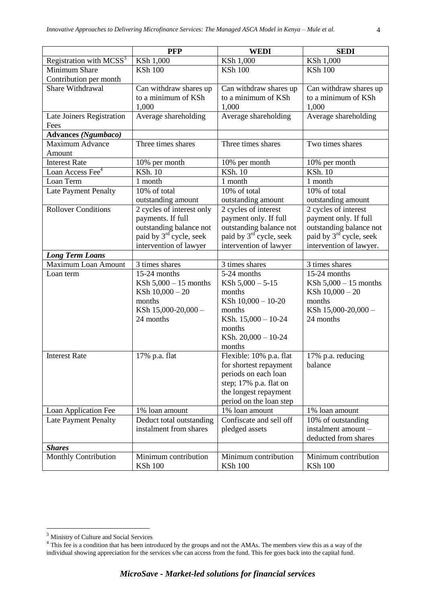|                                     | <b>PFP</b>                          | <b>WEDI</b>                         | <b>SEDI</b>                         |
|-------------------------------------|-------------------------------------|-------------------------------------|-------------------------------------|
| Registration with MCSS <sup>3</sup> | KSh 1,000                           | KSh 1,000                           | KSh 1,000                           |
| Minimum Share                       | <b>KSh 100</b>                      | <b>KSh 100</b>                      | <b>KSh 100</b>                      |
| Contribution per month              |                                     |                                     |                                     |
| Share Withdrawal                    | Can withdraw shares up              | Can withdraw shares up              | Can withdraw shares up              |
|                                     | to a minimum of KSh                 | to a minimum of KSh                 | to a minimum of KSh                 |
|                                     | 1,000                               | 1,000                               | 1,000                               |
| Late Joiners Registration           | Average shareholding                | Average shareholding                | Average shareholding                |
| Fees                                |                                     |                                     |                                     |
| <b>Advances</b> (Ngumbaco)          |                                     |                                     |                                     |
| <b>Maximum Advance</b>              | Three times shares                  | Three times shares                  | Two times shares                    |
| Amount                              |                                     |                                     |                                     |
| <b>Interest Rate</b>                | 10% per month                       | 10% per month                       | 10% per month                       |
| Loan Access Fee <sup>4</sup>        | <b>KSh. 10</b>                      | <b>KSh. 10</b>                      | <b>KSh. 10</b>                      |
| Loan Term                           | 1 month                             | 1 month                             | 1 month                             |
| Late Payment Penalty                | 10% of total                        | 10% of total                        | 10% of total                        |
|                                     | outstanding amount                  | outstanding amount                  | outstanding amount                  |
| <b>Rollover Conditions</b>          | 2 cycles of interest only           | 2 cycles of interest                | 2 cycles of interest                |
|                                     | payments. If full                   | payment only. If full               | payment only. If full               |
|                                     | outstanding balance not             | outstanding balance not             | outstanding balance not             |
|                                     | paid by 3 <sup>rd</sup> cycle, seek | paid by 3 <sup>rd</sup> cycle, seek | paid by 3 <sup>rd</sup> cycle, seek |
|                                     | intervention of lawyer              | intervention of lawyer              | intervention of lawyer.             |
| <b>Long Term Loans</b>              |                                     |                                     |                                     |
| Maximum Loan Amount                 | 3 times shares                      | 3 times shares                      | 3 times shares                      |
| Loan term                           | 15-24 months                        | 5-24 months                         | 15-24 months                        |
|                                     | KSh $5,000 - 15$ months             | KSh $5,000 - 5-15$                  | KSh $5,000 - 15$ months             |
|                                     | KSh $10,000 - 20$                   | months                              | KSh $10,000 - 20$                   |
|                                     | months                              | KSh 10,000 - 10-20                  | months                              |
|                                     | KSh 15,000-20,000 -                 | months                              | KSh 15,000-20,000 -                 |
|                                     | 24 months                           | KSh. 15,000 - 10-24                 | 24 months                           |
|                                     |                                     | months                              |                                     |
|                                     |                                     | KSh. $20,000 - 10-24$               |                                     |
|                                     |                                     | months                              |                                     |
| <b>Interest Rate</b>                | 17% p.a. flat                       | Flexible: 10% p.a. flat             | 17% p.a. reducing                   |
|                                     |                                     | for shortest repayment              | balance                             |
|                                     |                                     | periods on each loan                |                                     |
|                                     |                                     | step; 17% p.a. flat on              |                                     |
|                                     |                                     | the longest repayment               |                                     |
|                                     |                                     | period on the loan step             |                                     |
| Loan Application Fee                | 1% loan amount                      | 1% loan amount                      | 1% loan amount                      |
| Late Payment Penalty                | Deduct total outstanding            | Confiscate and sell off             | 10% of outstanding                  |
|                                     | instalment from shares              | pledged assets                      | instalment amount -                 |
|                                     |                                     |                                     | deducted from shares                |
| <b>Shares</b>                       |                                     |                                     |                                     |
| Monthly Contribution                | Minimum contribution                | Minimum contribution                | Minimum contribution                |
|                                     | <b>KSh 100</b>                      | <b>KSh 100</b>                      | <b>KSh 100</b>                      |

 $\overline{a}$ 

 $3 \text{ Ministry}$  of Culture and Social Services<br> $4 \text{ This fee is a condition that has been introduced by the groups and not the AMAs. The members view this as a way of the$ individual showing appreciation for the services s/he can access from the fund. This fee goes back into the capital fund.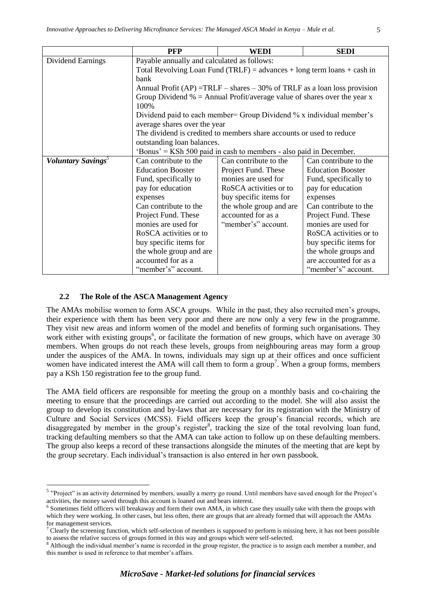|                                       | <b>PFP</b>                                                         | WEDI                                                                        | <b>SEDI</b>              |  |  |  |
|---------------------------------------|--------------------------------------------------------------------|-----------------------------------------------------------------------------|--------------------------|--|--|--|
| Dividend Earnings                     | Payable annually and calculated as follows:                        |                                                                             |                          |  |  |  |
|                                       |                                                                    | Total Revolving Loan Fund (TRLF) = advances + long term loans + cash in     |                          |  |  |  |
|                                       | bank                                                               |                                                                             |                          |  |  |  |
|                                       |                                                                    | Annual Profit $(AP)$ =TRLF – shares – 30% of TRLF as a loan loss provision  |                          |  |  |  |
|                                       |                                                                    | Group Dividend $\%$ = Annual Profit/average value of shares over the year x |                          |  |  |  |
|                                       | 100%                                                               |                                                                             |                          |  |  |  |
|                                       |                                                                    | Dividend paid to each member= Group Dividend % x individual member's        |                          |  |  |  |
|                                       | average shares over the year                                       |                                                                             |                          |  |  |  |
|                                       |                                                                    | The dividend is credited to members share accounts or used to reduce        |                          |  |  |  |
|                                       | outstanding loan balances.                                         |                                                                             |                          |  |  |  |
|                                       | 'Bonus' = KSh 500 paid in cash to members - also paid in December. |                                                                             |                          |  |  |  |
| <b>Voluntary Savings</b> <sup>5</sup> | Can contribute to the                                              | Can contribute to the                                                       | Can contribute to the    |  |  |  |
|                                       | <b>Education Booster</b>                                           | Project Fund. These                                                         | <b>Education Booster</b> |  |  |  |
|                                       | Fund, specifically to                                              | monies are used for                                                         | Fund, specifically to    |  |  |  |
|                                       | pay for education                                                  | RoSCA activities or to                                                      | pay for education        |  |  |  |
|                                       | expenses                                                           | buy specific items for                                                      | expenses                 |  |  |  |
|                                       | Can contribute to the                                              | the whole group and are                                                     | Can contribute to the    |  |  |  |
|                                       | Project Fund. These                                                | accounted for as a                                                          | Project Fund. These      |  |  |  |
|                                       | monies are used for                                                | "member's" account.                                                         | monies are used for      |  |  |  |
|                                       | RoSCA activities or to                                             |                                                                             | RoSCA activities or to   |  |  |  |
|                                       | buy specific items for                                             |                                                                             | buy specific items for   |  |  |  |
|                                       | the whole group and are                                            |                                                                             | the whole groups and     |  |  |  |
|                                       | accounted for as a                                                 |                                                                             | are accounted for as a   |  |  |  |
|                                       | "member's" account.                                                |                                                                             | "member's" account.      |  |  |  |

## <span id="page-10-0"></span>**2.2 The Role of the ASCA Management Agency**

 $\overline{a}$ 

The AMAs mobilise women to form ASCA groups. While in the past, they also recruited men's groups, their experience with them has been very poor and there are now only a very few in the programme. They visit new areas and inform women of the model and benefits of forming such organisations. They work either with existing groups<sup>6</sup>, or facilitate the formation of new groups, which have on average 30 members. When groups do not reach these levels, groups from neighbouring areas may form a group under the auspices of the AMA. In towns, individuals may sign up at their offices and once sufficient women have indicated interest the AMA will call them to form a group<sup>7</sup>. When a group forms, members pay a KSh 150 registration fee to the group fund.

The AMA field officers are responsible for meeting the group on a monthly basis and co-chairing the meeting to ensure that the proceedings are carried out according to the model. She will also assist the group to develop its constitution and by-laws that are necessary for its registration with the Ministry of Culture and Social Services (MCSS). Field officers keep the group's financial records, which are disaggregated by member in the group's register<sup>8</sup>, tracking the size of the total revolving loan fund, tracking defaulting members so that the AMA can take action to follow up on these defaulting members. The group also keeps a record of these transactions alongside the minutes of the meeting that are kept by the group secretary. Each individual's transaction is also entered in her own passbook.

<sup>&</sup>lt;sup>5</sup> "Project" is an activity determined by members, usually a merry go round. Until members have saved enough for the Project's activities, the money saved through this account is loaned out and bears interest.

<sup>&</sup>lt;sup>6</sup> Sometimes field officers will breakaway and form their own AMA, in which case they usually take with them the groups with which they were working. In other cases, but less often, there are groups that are already formed that will approach the AMAs for management services.

<sup>7</sup> Clearly the screening function, which self-selection of members is supposed to perform is missing here, it has not been possible to assess the relative success of groups formed in this way and groups which were self-selected.

<sup>&</sup>lt;sup>8</sup> Although the individual member's name is recorded in the group register, the practice is to assign each member a number, and this number is used in reference to that member's affairs.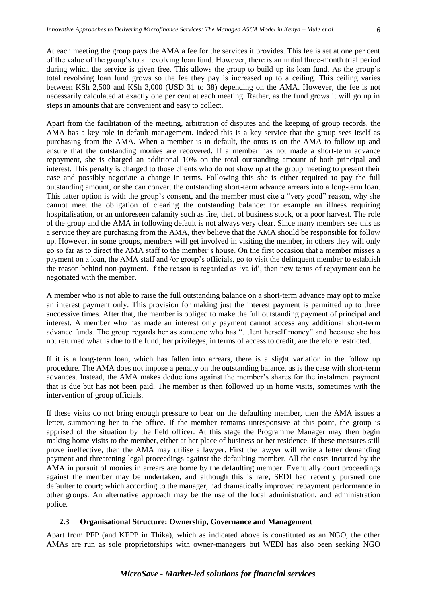At each meeting the group pays the AMA a fee for the services it provides. This fee is set at one per cent of the value of the group's total revolving loan fund. However, there is an initial three-month trial period during which the service is given free. This allows the group to build up its loan fund. As the group's total revolving loan fund grows so the fee they pay is increased up to a ceiling. This ceiling varies between KSh 2,500 and KSh 3,000 (USD 31 to 38) depending on the AMA. However, the fee is not necessarily calculated at exactly one per cent at each meeting. Rather, as the fund grows it will go up in steps in amounts that are convenient and easy to collect.

Apart from the facilitation of the meeting, arbitration of disputes and the keeping of group records, the AMA has a key role in default management. Indeed this is a key service that the group sees itself as purchasing from the AMA. When a member is in default, the onus is on the AMA to follow up and ensure that the outstanding monies are recovered. If a member has not made a short-term advance repayment, she is charged an additional 10% on the total outstanding amount of both principal and interest. This penalty is charged to those clients who do not show up at the group meeting to present their case and possibly negotiate a change in terms. Following this she is either required to pay the full outstanding amount, or she can convert the outstanding short-term advance arrears into a long-term loan. This latter option is with the group's consent, and the member must cite a "very good" reason, why she cannot meet the obligation of clearing the outstanding balance: for example an illness requiring hospitalisation, or an unforeseen calamity such as fire, theft of business stock, or a poor harvest. The role of the group and the AMA in following default is not always very clear. Since many members see this as a service they are purchasing from the AMA, they believe that the AMA should be responsible for follow up. However, in some groups, members will get involved in visiting the member, in others they will only go so far as to direct the AMA staff to the member's house. On the first occasion that a member misses a payment on a loan, the AMA staff and /or group's officials, go to visit the delinquent member to establish the reason behind non-payment. If the reason is regarded as 'valid', then new terms of repayment can be negotiated with the member.

A member who is not able to raise the full outstanding balance on a short-term advance may opt to make an interest payment only. This provision for making just the interest payment is permitted up to three successive times. After that, the member is obliged to make the full outstanding payment of principal and interest. A member who has made an interest only payment cannot access any additional short-term advance funds. The group regards her as someone who has "…lent herself money" and because she has not returned what is due to the fund, her privileges, in terms of access to credit, are therefore restricted.

If it is a long-term loan, which has fallen into arrears, there is a slight variation in the follow up procedure. The AMA does not impose a penalty on the outstanding balance, as is the case with short-term advances. Instead, the AMA makes deductions against the member's shares for the instalment payment that is due but has not been paid. The member is then followed up in home visits, sometimes with the intervention of group officials.

If these visits do not bring enough pressure to bear on the defaulting member, then the AMA issues a letter, summoning her to the office. If the member remains unresponsive at this point, the group is apprised of the situation by the field officer. At this stage the Programme Manager may then begin making home visits to the member, either at her place of business or her residence. If these measures still prove ineffective, then the AMA may utilise a lawyer. First the lawyer will write a letter demanding payment and threatening legal proceedings against the defaulting member. All the costs incurred by the AMA in pursuit of monies in arrears are borne by the defaulting member. Eventually court proceedings against the member may be undertaken, and although this is rare, SEDI had recently pursued one defaulter to court; which according to the manager, had dramatically improved repayment performance in other groups. An alternative approach may be the use of the local administration, and administration police.

## <span id="page-11-0"></span>**2.3 Organisational Structure: Ownership, Governance and Management**

Apart from PFP (and KEPP in Thika), which as indicated above is constituted as an NGO, the other AMAs are run as sole proprietorships with owner-managers but WEDI has also been seeking NGO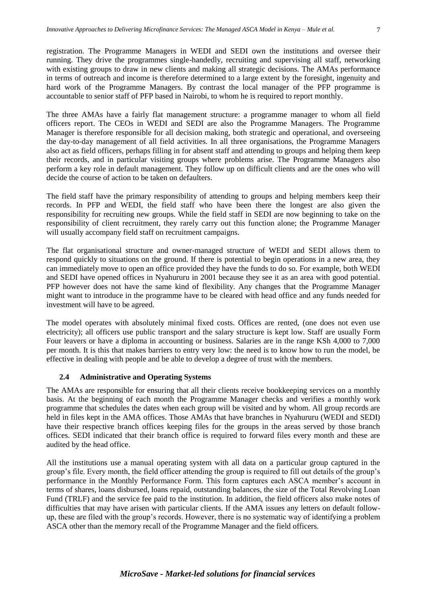registration. The Programme Managers in WEDI and SEDI own the institutions and oversee their running. They drive the programmes single-handedly, recruiting and supervising all staff, networking with existing groups to draw in new clients and making all strategic decisions. The AMAs performance in terms of outreach and income is therefore determined to a large extent by the foresight, ingenuity and hard work of the Programme Managers. By contrast the local manager of the PFP programme is accountable to senior staff of PFP based in Nairobi, to whom he is required to report monthly.

The three AMAs have a fairly flat management structure: a programme manager to whom all field officers report. The CEOs in WEDI and SEDI are also the Programme Managers. The Programme Manager is therefore responsible for all decision making, both strategic and operational, and overseeing the day-to-day management of all field activities. In all three organisations, the Programme Managers also act as field officers, perhaps filling in for absent staff and attending to groups and helping them keep their records, and in particular visiting groups where problems arise. The Programme Managers also perform a key role in default management. They follow up on difficult clients and are the ones who will decide the course of action to be taken on defaulters.

The field staff have the primary responsibility of attending to groups and helping members keep their records. In PFP and WEDI, the field staff who have been there the longest are also given the responsibility for recruiting new groups. While the field staff in SEDI are now beginning to take on the responsibility of client recruitment, they rarely carry out this function alone; the Programme Manager will usually accompany field staff on recruitment campaigns.

The flat organisational structure and owner-managed structure of WEDI and SEDI allows them to respond quickly to situations on the ground. If there is potential to begin operations in a new area, they can immediately move to open an office provided they have the funds to do so. For example, both WEDI and SEDI have opened offices in Nyahururu in 2001 because they see it as an area with good potential. PFP however does not have the same kind of flexibility. Any changes that the Programme Manager might want to introduce in the programme have to be cleared with head office and any funds needed for investment will have to be agreed.

The model operates with absolutely minimal fixed costs. Offices are rented, (one does not even use electricity); all officers use public transport and the salary structure is kept low. Staff are usually Form Four leavers or have a diploma in accounting or business. Salaries are in the range KSh 4,000 to 7,000 per month. It is this that makes barriers to entry very low: the need is to know how to run the model, be effective in dealing with people and be able to develop a degree of trust with the members.

# <span id="page-12-0"></span>**2.4 Administrative and Operating Systems**

The AMAs are responsible for ensuring that all their clients receive bookkeeping services on a monthly basis. At the beginning of each month the Programme Manager checks and verifies a monthly work programme that schedules the dates when each group will be visited and by whom. All group records are held in files kept in the AMA offices. Those AMAs that have branches in Nyahururu (WEDI and SEDI) have their respective branch offices keeping files for the groups in the areas served by those branch offices. SEDI indicated that their branch office is required to forward files every month and these are audited by the head office.

All the institutions use a manual operating system with all data on a particular group captured in the group's file. Every month, the field officer attending the group is required to fill out details of the group's performance in the Monthly Performance Form. This form captures each ASCA member's account in terms of shares, loans disbursed, loans repaid, outstanding balances, the size of the Total Revolving Loan Fund (TRLF) and the service fee paid to the institution. In addition, the field officers also make notes of difficulties that may have arisen with particular clients. If the AMA issues any letters on default followup, these are filed with the group's records. However, there is no systematic way of identifying a problem ASCA other than the memory recall of the Programme Manager and the field officers.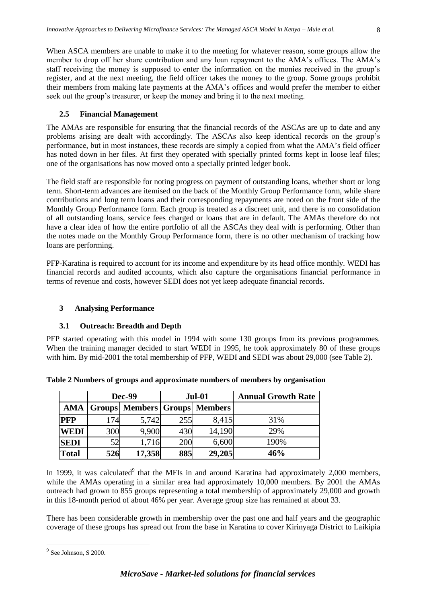When ASCA members are unable to make it to the meeting for whatever reason, some groups allow the member to drop off her share contribution and any loan repayment to the AMA's offices. The AMA's staff receiving the money is supposed to enter the information on the monies received in the group's register, and at the next meeting, the field officer takes the money to the group. Some groups prohibit their members from making late payments at the AMA's offices and would prefer the member to either seek out the group's treasurer, or keep the money and bring it to the next meeting.

## <span id="page-13-0"></span>**2.5 Financial Management**

The AMAs are responsible for ensuring that the financial records of the ASCAs are up to date and any problems arising are dealt with accordingly. The ASCAs also keep identical records on the group's performance, but in most instances, these records are simply a copied from what the AMA's field officer has noted down in her files. At first they operated with specially printed forms kept in loose leaf files; one of the organisations has now moved onto a specially printed ledger book.

The field staff are responsible for noting progress on payment of outstanding loans, whether short or long term. Short-term advances are itemised on the back of the Monthly Group Performance form, while share contributions and long term loans and their corresponding repayments are noted on the front side of the Monthly Group Performance form. Each group is treated as a discreet unit, and there is no consolidation of all outstanding loans, service fees charged or loans that are in default. The AMAs therefore do not have a clear idea of how the entire portfolio of all the ASCAs they deal with is performing. Other than the notes made on the Monthly Group Performance form, there is no other mechanism of tracking how loans are performing.

PFP-Karatina is required to account for its income and expenditure by its head office monthly. WEDI has financial records and audited accounts, which also capture the organisations financial performance in terms of revenue and costs, however SEDI does not yet keep adequate financial records.

## <span id="page-13-1"></span>**3 Analysing Performance**

#### <span id="page-13-2"></span>**3.1 Outreach: Breadth and Depth**

PFP started operating with this model in 1994 with some 130 groups from its previous programmes. When the training manager decided to start WEDI in 1995, he took approximately 80 of these groups with him. By mid-2001 the total membership of PFP, WEDI and SEDI was about 29,000 (see Table 2).

| 174<br>300<br>52<br>526                        | 5,742<br>9,900<br>1,716 | 255<br>430<br>200 | <b>Groups   Members   Groups   Members</b><br>8,415<br>14,190<br>6,600 | 31%<br>29%                                                                                                                                                                                                                                                                                                                                                                                                                                                                                                                             |  |
|------------------------------------------------|-------------------------|-------------------|------------------------------------------------------------------------|----------------------------------------------------------------------------------------------------------------------------------------------------------------------------------------------------------------------------------------------------------------------------------------------------------------------------------------------------------------------------------------------------------------------------------------------------------------------------------------------------------------------------------------|--|
|                                                |                         |                   |                                                                        |                                                                                                                                                                                                                                                                                                                                                                                                                                                                                                                                        |  |
|                                                |                         |                   |                                                                        |                                                                                                                                                                                                                                                                                                                                                                                                                                                                                                                                        |  |
|                                                |                         |                   |                                                                        |                                                                                                                                                                                                                                                                                                                                                                                                                                                                                                                                        |  |
|                                                |                         |                   |                                                                        | 190%                                                                                                                                                                                                                                                                                                                                                                                                                                                                                                                                   |  |
| 46%<br>17,358<br>885<br>29,205<br><b>Total</b> |                         |                   |                                                                        |                                                                                                                                                                                                                                                                                                                                                                                                                                                                                                                                        |  |
|                                                |                         |                   |                                                                        |                                                                                                                                                                                                                                                                                                                                                                                                                                                                                                                                        |  |
|                                                |                         |                   |                                                                        | 1 1999, it was calculated <sup>9</sup> that the MFIs in and around Karatina had approximatel<br>hile the AMAs operating in a similar area had approximately 10,000 members. B<br>utreach had grown to 855 groups representing a total membership of approximately<br>1 this 18-month period of about 46% per year. Average group size has remained at abo<br>here has been considerable growth in membership over the past one and half years a<br>overage of these groups has spread out from the base in Karatina to cover Kirinyaga |  |

**Table 2 Numbers of groups and approximate numbers of members by organisation**

In 1999, it was calculated<sup>9</sup> that the MFIs in and around Karatina had approximately 2,000 members, while the AMAs operating in a similar area had approximately 10,000 members. By 2001 the AMAs outreach had grown to 855 groups representing a total membership of approximately 29,000 and growth in this 18-month period of about 46% per year. Average group size has remained at about 33.

There has been considerable growth in membership over the past one and half years and the geographic coverage of these groups has spread out from the base in Karatina to cover Kirinyaga District to Laikipia

 $\overline{a}$ 

 $9$  See Johnson, S 2000.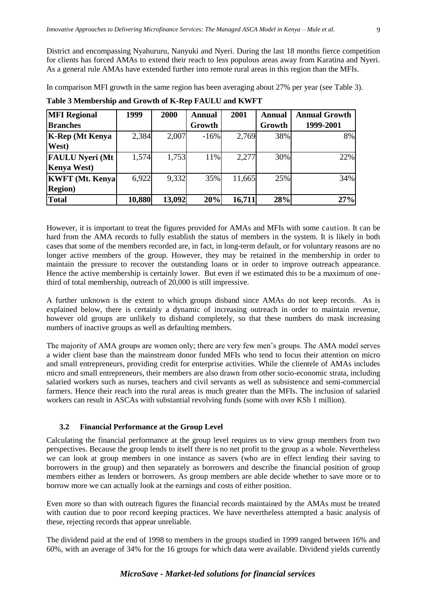District and encompassing Nyahururu, Nanyuki and Nyeri. During the last 18 months fierce competition for clients has forced AMAs to extend their reach to less populous areas away from Karatina and Nyeri. As a general rule AMAs have extended further into remote rural areas in this region than the MFIs.

In comparison MFI growth in the same region has been averaging about 27% per year (see Table 3).

| <b>MFI Regional</b>    | 1999   | 2000   | <b>Annual</b> | 2001   | Annual | <b>Annual Growth</b> |
|------------------------|--------|--------|---------------|--------|--------|----------------------|
| <b>Branches</b>        |        |        | Growth        |        | Growth | 1999-2001            |
| <b>K-Rep</b> (Mt Kenya | 2,384  | 2,007  | $-16%$        | 2,769  | 38%    | 8%                   |
| West)                  |        |        |               |        |        |                      |
| <b>FAULU Nyeri (Mt</b> | 1,574  | 1,753  | 11%           | 2,277  | 30%    | 22%                  |
| <b>Kenya West</b> )    |        |        |               |        |        |                      |
| <b>KWFT</b> (Mt. Kenya | 6,922  | 9,332  | 35%           | 11,665 | 25%    | 34%                  |
| <b>Region</b> )        |        |        |               |        |        |                      |
| <b>Total</b>           | 10,880 | 13,092 | 20%           | 16,711 | 28%    | 27%                  |

**Table 3 Membership and Growth of K-Rep FAULU and KWFT**

However, it is important to treat the figures provided for AMAs and MFIs with some caution. It can be hard from the AMA records to fully establish the status of members in the system. It is likely in both cases that some of the members recorded are, in fact, in long-term default, or for voluntary reasons are no longer active members of the group. However, they may be retained in the membership in order to maintain the pressure to recover the outstanding loans or in order to improve outreach appearance. Hence the active membership is certainly lower. But even if we estimated this to be a maximum of onethird of total membership, outreach of 20,000 is still impressive.

A further unknown is the extent to which groups disband since AMAs do not keep records. As is explained below, there is certainly a dynamic of increasing outreach in order to maintain revenue, however old groups are unlikely to disband completely, so that these numbers do mask increasing numbers of inactive groups as well as defaulting members.

The majority of AMA groups are women only; there are very few men's groups. The AMA model serves a wider client base than the mainstream donor funded MFIs who tend to focus their attention on micro and small entrepreneurs, providing credit for enterprise activities. While the clientele of AMAs includes micro and small entrepreneurs, their members are also drawn from other socio-economic strata, including salaried workers such as nurses, teachers and civil servants as well as subsistence and semi-commercial farmers. Hence their reach into the rural areas is much greater than the MFIs. The inclusion of salaried workers can result in ASCAs with substantial revolving funds (some with over KSh 1 million).

## <span id="page-14-0"></span>**3.2 Financial Performance at the Group Level**

Calculating the financial performance at the group level requires us to view group members from two perspectives. Because the group lends to itself there is no net profit to the group as a whole. Nevertheless we can look at group members in one instance as savers (who are in effect lending their saving to borrowers in the group) and then separately as borrowers and describe the financial position of group members either as lenders or borrowers. As group members are able decide whether to save more or to borrow more we can actually look at the earnings and costs of either position.

Even more so than with outreach figures the financial records maintained by the AMAs must be treated with caution due to poor record keeping practices. We have nevertheless attempted a basic analysis of these, rejecting records that appear unreliable.

The dividend paid at the end of 1998 to members in the groups studied in 1999 ranged between 16% and 60%, with an average of 34% for the 16 groups for which data were available. Dividend yields currently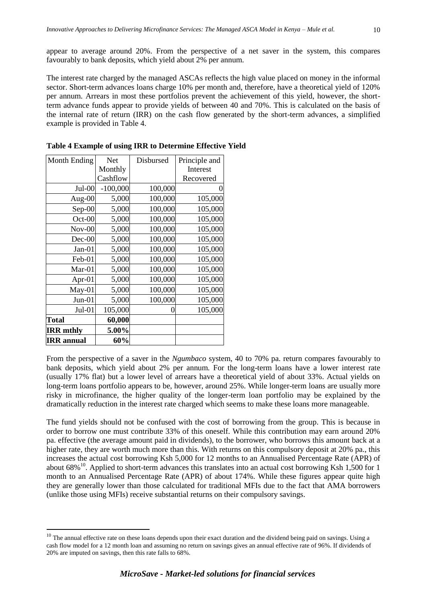appear to average around 20%. From the perspective of a net saver in the system, this compares favourably to bank deposits, which yield about 2% per annum.

The interest rate charged by the managed ASCAs reflects the high value placed on money in the informal sector. Short-term advances loans charge 10% per month and, therefore, have a theoretical yield of 120% per annum. Arrears in most these portfolios prevent the achievement of this yield, however, the shortterm advance funds appear to provide yields of between 40 and 70%. This is calculated on the basis of the internal rate of return (IRR) on the cash flow generated by the short-term advances, a simplified example is provided in Table 4.

| Month Ending      | Net        | Disbursed | Principle and |
|-------------------|------------|-----------|---------------|
|                   | Monthly    |           | Interest      |
|                   | Cashflow   |           | Recovered     |
| $Jul-00$          | $-100,000$ | 100,000   |               |
| Aug-00            | 5,000      | 100,000   | 105,000       |
| $Sep-00$          | 5,000      | 100,000   | 105,000       |
| $Oct-00$          | 5,000      | 100,000   | 105,000       |
| $Nov-00$          | 5,000      | 100,000   | 105,000       |
| $Dec-00$          | 5,000      | 100,000   | 105,000       |
| $Jan-01$          | 5,000      | 100,000   | 105,000       |
| Feb-01            | 5,000      | 100,000   | 105,000       |
| Mar-01            | 5,000      | 100,000   | 105,000       |
| Apr- $01$         | 5,000      | 100,000   | 105,000       |
| $May-01$          | 5,000      | 100,000   | 105,000       |
| $Jun-01$          | 5,000      | 100,000   | 105,000       |
| $Jul-01$          | 105,000    |           | 105,000       |
| Total             | 60,000     |           |               |
| <b>IRR</b> mthly  | 5.00%      |           |               |
| <b>IRR</b> annual | 60%        |           |               |

 $\overline{a}$ 

**Table 4 Example of using IRR to Determine Effective Yield**

From the perspective of a saver in the *Ngumbaco* system, 40 to 70% pa. return compares favourably to bank deposits, which yield about 2% per annum. For the long-term loans have a lower interest rate (usually 17% flat) but a lower level of arrears have a theoretical yield of about 33%. Actual yields on long-term loans portfolio appears to be, however, around 25%. While longer-term loans are usually more risky in microfinance, the higher quality of the longer-term loan portfolio may be explained by the dramatically reduction in the interest rate charged which seems to make these loans more manageable.

The fund yields should not be confused with the cost of borrowing from the group. This is because in order to borrow one must contribute 33% of this oneself. While this contribution may earn around 20% pa. effective (the average amount paid in dividends), to the borrower, who borrows this amount back at a higher rate, they are worth much more than this. With returns on this compulsory deposit at 20% pa., this increases the actual cost borrowing Ksh 5,000 for 12 months to an Annualised Percentage Rate (APR) of about  $68\%$ <sup>10</sup>. Applied to short-term advances this translates into an actual cost borrowing Ksh 1,500 for 1 month to an Annualised Percentage Rate (APR) of about 174%. While these figures appear quite high they are generally lower than those calculated for traditional MFIs due to the fact that AMA borrowers (unlike those using MFIs) receive substantial returns on their compulsory savings.

 $10$  The annual effective rate on these loans depends upon their exact duration and the dividend being paid on savings. Using a cash flow model for a 12 month loan and assuming no return on savings gives an annual effective rate of 96%. If dividends of 20% are imputed on savings, then this rate falls to 68%.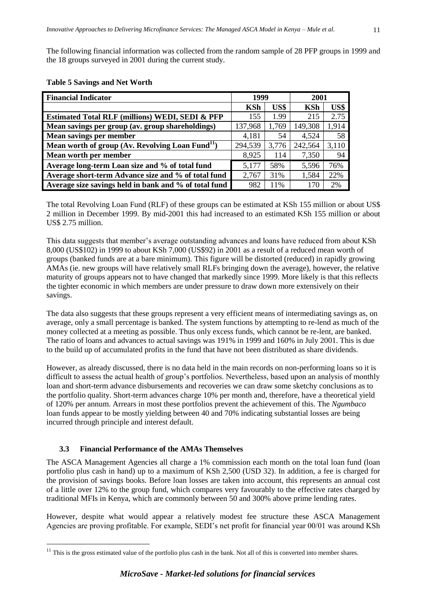The following financial information was collected from the random sample of 28 PFP groups in 1999 and the 18 groups surveyed in 2001 during the current study.

| <b>Financial Indicator</b>                                   | 1999       |       | 2001       |       |
|--------------------------------------------------------------|------------|-------|------------|-------|
|                                                              | <b>KSh</b> | US\$  | <b>KSh</b> | US\$  |
| <b>Estimated Total RLF (millions) WEDI, SEDI &amp; PFP</b>   | 155        | 1.99  | 215        | 2.75  |
| Mean savings per group (av. group shareholdings)             | 137,968    | 1,769 | 149,308    | 1,914 |
| Mean savings per member                                      | 4,181      | 54    | 4,524      | 58    |
| Mean worth of group (Av. Revolving Loan Fund <sup>11</sup> ) | 294,539    | 3,776 | 242,564    | 3,110 |
| Mean worth per member                                        | 8,925      | 114   | 7,350      | 94    |
| Average long-term Loan size and % of total fund              | 5,177      | 58%   | 5,596      | 76%   |
| Average short-term Advance size and % of total fund          | 2,767      | 31%   | 1,584      | 22%   |
| Average size savings held in bank and % of total fund        | 982        | 11%   | 170        | 2%    |

## **Table 5 Savings and Net Worth**

The total Revolving Loan Fund (RLF) of these groups can be estimated at KSh 155 million or about US\$ 2 million in December 1999. By mid-2001 this had increased to an estimated KSh 155 million or about US\$ 2.75 million.

This data suggests that member's average outstanding advances and loans have reduced from about KSh 8,000 (US\$102) in 1999 to about KSh 7,000 (US\$92) in 2001 as a result of a reduced mean worth of groups (banked funds are at a bare minimum). This figure will be distorted (reduced) in rapidly growing AMAs (ie. new groups will have relatively small RLFs bringing down the average), however, the relative maturity of groups appears not to have changed that markedly since 1999. More likely is that this reflects the tighter economic in which members are under pressure to draw down more extensively on their savings.

The data also suggests that these groups represent a very efficient means of intermediating savings as, on average, only a small percentage is banked. The system functions by attempting to re-lend as much of the money collected at a meeting as possible. Thus only excess funds, which cannot be re-lent, are banked. The ratio of loans and advances to actual savings was 191% in 1999 and 160% in July 2001. This is due to the build up of accumulated profits in the fund that have not been distributed as share dividends.

However, as already discussed, there is no data held in the main records on non-performing loans so it is difficult to assess the actual health of group's portfolios. Nevertheless, based upon an analysis of monthly loan and short-term advance disbursements and recoveries we can draw some sketchy conclusions as to the portfolio quality. Short-term advances charge 10% per month and, therefore, have a theoretical yield of 120% per annum. Arrears in most these portfolios prevent the achievement of this. The *Ngumbaco* loan funds appear to be mostly yielding between 40 and 70% indicating substantial losses are being incurred through principle and interest default.

## <span id="page-16-0"></span>**3.3 Financial Performance of the AMAs Themselves**

 $\overline{a}$ 

The ASCA Management Agencies all charge a 1% commission each month on the total loan fund (loan portfolio plus cash in hand) up to a maximum of KSh 2,500 (USD 32). In addition, a fee is charged for the provision of savings books. Before loan losses are taken into account, this represents an annual cost of a little over 12% to the group fund, which compares very favourably to the effective rates charged by traditional MFIs in Kenya, which are commonly between 50 and 300% above prime lending rates.

However, despite what would appear a relatively modest fee structure these ASCA Management Agencies are proving profitable. For example, SEDI's net profit for financial year 00/01 was around KSh

 $11$  This is the gross estimated value of the portfolio plus cash in the bank. Not all of this is converted into member shares.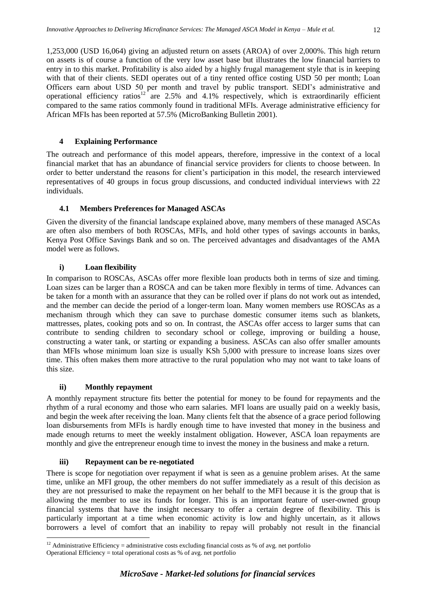1,253,000 (USD 16,064) giving an adjusted return on assets (AROA) of over 2,000%. This high return on assets is of course a function of the very low asset base but illustrates the low financial barriers to entry in to this market. Profitability is also aided by a highly frugal management style that is in keeping with that of their clients. SEDI operates out of a tiny rented office costing USD 50 per month; Loan Officers earn about USD 50 per month and travel by public transport. SEDI's administrative and operational efficiency ratios<sup>12</sup> are 2.5% and 4.1% respectively, which is extraordinarily efficient compared to the same ratios commonly found in traditional MFIs. Average administrative efficiency for African MFIs has been reported at 57.5% (MicroBanking Bulletin 2001).

# <span id="page-17-0"></span>**4 Explaining Performance**

The outreach and performance of this model appears, therefore, impressive in the context of a local financial market that has an abundance of financial service providers for clients to choose between. In order to better understand the reasons for client's participation in this model, the research interviewed representatives of 40 groups in focus group discussions, and conducted individual interviews with 22 individuals.

# <span id="page-17-1"></span>**4.1 Members Preferences for Managed ASCAs**

Given the diversity of the financial landscape explained above, many members of these managed ASCAs are often also members of both ROSCAs, MFIs, and hold other types of savings accounts in banks, Kenya Post Office Savings Bank and so on. The perceived advantages and disadvantages of the AMA model were as follows.

# **i) Loan flexibility**

<span id="page-17-2"></span>In comparison to ROSCAs, ASCAs offer more flexible loan products both in terms of size and timing. Loan sizes can be larger than a ROSCA and can be taken more flexibly in terms of time. Advances can be taken for a month with an assurance that they can be rolled over if plans do not work out as intended, and the member can decide the period of a longer-term loan. Many women members use ROSCAs as a mechanism through which they can save to purchase domestic consumer items such as blankets, mattresses, plates, cooking pots and so on. In contrast, the ASCAs offer access to larger sums that can contribute to sending children to secondary school or college, improving or building a house, constructing a water tank, or starting or expanding a business. ASCAs can also offer smaller amounts than MFIs whose minimum loan size is usually KSh 5,000 with pressure to increase loans sizes over time. This often makes them more attractive to the rural population who may not want to take loans of this size.

# **ii) Monthly repayment**

 $\overline{a}$ 

<span id="page-17-3"></span>A monthly repayment structure fits better the potential for money to be found for repayments and the rhythm of a rural economy and those who earn salaries. MFI loans are usually paid on a weekly basis, and begin the week after receiving the loan. Many clients felt that the absence of a grace period following loan disbursements from MFIs is hardly enough time to have invested that money in the business and made enough returns to meet the weekly instalment obligation. However, ASCA loan repayments are monthly and give the entrepreneur enough time to invest the money in the business and make a return.

# **iii) Repayment can be re-negotiated**

<span id="page-17-4"></span>There is scope for negotiation over repayment if what is seen as a genuine problem arises. At the same time, unlike an MFI group, the other members do not suffer immediately as a result of this decision as they are not pressurised to make the repayment on her behalf to the MFI because it is the group that is allowing the member to use its funds for longer. This is an important feature of user-owned group financial systems that have the insight necessary to offer a certain degree of flexibility. This is particularly important at a time when economic activity is low and highly uncertain, as it allows borrowers a level of comfort that an inability to repay will probably not result in the financial

<sup>&</sup>lt;sup>12</sup> Administrative Efficiency = administrative costs excluding financial costs as % of avg. net portfolio

Operational Efficiency = total operational costs as % of avg. net portfolio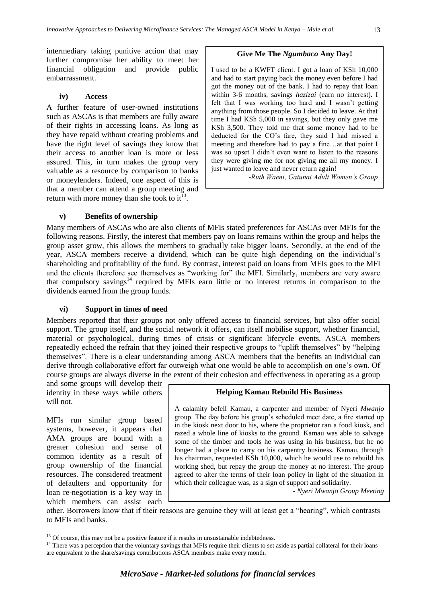intermediary taking punitive action that may further compromise her ability to meet her financial obligation and provide public embarrassment.

#### **iv) Access**

<span id="page-18-0"></span>A further feature of user-owned institutions such as ASCAs is that members are fully aware of their rights in accessing loans. As long as they have repaid without creating problems and have the right level of savings they know that their access to another loan is more or less assured. This, in turn makes the group very valuable as a resource by comparison to banks or moneylenders. Indeed, one aspect of this is that a member can attend a group meeting and return with more money than she took to it<sup>13</sup>.

#### **v) Benefits of ownership**

<span id="page-18-1"></span>Many members of ASCAs who are also clients of MFIs stated preferences for ASCAs over MFIs for the following reasons. Firstly, the interest that members pay on loans remains within the group and helps the group asset grow, this allows the members to gradually take bigger loans. Secondly, at the end of the year, ASCA members receive a dividend, which can be quite high depending on the individual's shareholding and profitability of the fund. By contrast, interest paid on loans from MFIs goes to the MFI and the clients therefore see themselves as "working for" the MFI. Similarly, members are very aware that compulsory savings<sup>14</sup> required by MFIs earn little or no interest returns in comparison to the dividends earned from the group funds.

#### **vi) Support in times of need**

<span id="page-18-2"></span>Members reported that their groups not only offered access to financial services, but also offer social support. The group itself, and the social network it offers, can itself mobilise support, whether financial, material or psychological, during times of crisis or significant lifecycle events. ASCA members repeatedly echoed the refrain that they joined their respective groups to "uplift themselves" by "helping themselves". There is a clear understanding among ASCA members that the benefits an individual can derive through collaborative effort far outweigh what one would be able to accomplish on one's own. Of course groups are always diverse in the extent of their cohesion and effectiveness in operating as a group

and some groups will develop their identity in these ways while others will not.

MFIs run similar group based systems, however, it appears that AMA groups are bound with a greater cohesion and sense of common identity as a result of group ownership of the financial resources. The considered treatment of defaulters and opportunity for loan re-negotiation is a key way in which members can assist each

 $\overline{a}$ 

#### **Helping Kamau Rebuild His Business**

**Give Me The** *Ngumbaco* **Any Day!**

I used to be a KWFT client. I got a loan of KSh 10,000 and had to start paying back the money even before I had got the money out of the bank. I had to repay that loan within 3-6 months, savings *hazizai* (earn no interest). I felt that I was working too hard and I wasn't getting anything from those people. So I decided to leave. At that time I had KSh 5,000 in savings, but they only gave me KSh 3,500. They told me that some money had to be deducted for the CO's fare, they said I had missed a meeting and therefore had to pay a fine…at that point I was so upset I didn't even want to listen to the reasons they were giving me for not giving me all my money. I

*-Ruth Waeni, Gatunai Adult Women's Group*

just wanted to leave and never return again!

A calamity befell Kamau, a carpenter and member of Nyeri *Mwanjo*  group. The day before his group's scheduled meet date, a fire started up in the kiosk next door to his, where the proprietor ran a food kiosk, and razed a whole line of kiosks to the ground. Kamau was able to salvage some of the timber and tools he was using in his business, but he no longer had a place to carry on his carpentry business. Kamau, through his chairman, requested KSh 10,000, which he would use to rebuild his working shed, but repay the group the money at no interest. The group agreed to alter the terms of their loan policy in light of the situation in which their colleague was, as a sign of support and solidarity.

*- Nyeri Mwanjo Group Meeting*

other. Borrowers know that if their reasons are genuine they will at least get a "hearing", which contrasts to MFIs and banks.

<sup>&</sup>lt;sup>13</sup> Of course, this may not be a positive feature if it results in unsustainable indebtedness.

<sup>&</sup>lt;sup>14</sup> There was a perception that the voluntary savings that MFIs require their clients to set aside as partial collateral for their loans are equivalent to the share/savings contributions ASCA members make every month.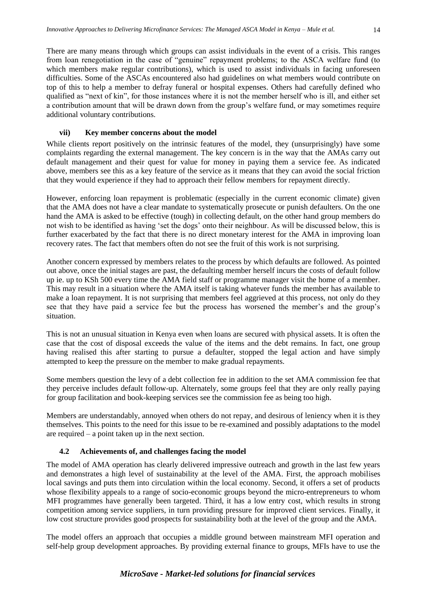There are many means through which groups can assist individuals in the event of a crisis. This ranges from loan renegotiation in the case of "genuine" repayment problems; to the ASCA welfare fund (to which members make regular contributions), which is used to assist individuals in facing unforeseen difficulties. Some of the ASCAs encountered also had guidelines on what members would contribute on top of this to help a member to defray funeral or hospital expenses. Others had carefully defined who qualified as "next of kin", for those instances where it is not the member herself who is ill, and either set a contribution amount that will be drawn down from the group's welfare fund, or may sometimes require additional voluntary contributions.

## **vii) Key member concerns about the model**

<span id="page-19-0"></span>While clients report positively on the intrinsic features of the model, they (unsurprisingly) have some complaints regarding the external management. The key concern is in the way that the AMAs carry out default management and their quest for value for money in paying them a service fee. As indicated above, members see this as a key feature of the service as it means that they can avoid the social friction that they would experience if they had to approach their fellow members for repayment directly.

However, enforcing loan repayment is problematic (especially in the current economic climate) given that the AMA does not have a clear mandate to systematically prosecute or punish defaulters. On the one hand the AMA is asked to be effective (tough) in collecting default, on the other hand group members do not wish to be identified as having 'set the dogs' onto their neighbour. As will be discussed below, this is further exacerbated by the fact that there is no direct monetary interest for the AMA in improving loan recovery rates. The fact that members often do not see the fruit of this work is not surprising.

Another concern expressed by members relates to the process by which defaults are followed. As pointed out above, once the initial stages are past, the defaulting member herself incurs the costs of default follow up ie. up to KSh 500 every time the AMA field staff or programme manager visit the home of a member. This may result in a situation where the AMA itself is taking whatever funds the member has available to make a loan repayment. It is not surprising that members feel aggrieved at this process, not only do they see that they have paid a service fee but the process has worsened the member's and the group's situation.

This is not an unusual situation in Kenya even when loans are secured with physical assets. It is often the case that the cost of disposal exceeds the value of the items and the debt remains. In fact, one group having realised this after starting to pursue a defaulter, stopped the legal action and have simply attempted to keep the pressure on the member to make gradual repayments.

Some members question the levy of a debt collection fee in addition to the set AMA commission fee that they perceive includes default follow-up. Alternately, some groups feel that they are only really paying for group facilitation and book-keeping services see the commission fee as being too high.

Members are understandably, annoyed when others do not repay, and desirous of leniency when it is they themselves. This points to the need for this issue to be re-examined and possibly adaptations to the model are required – a point taken up in the next section.

## <span id="page-19-1"></span>**4.2 Achievements of, and challenges facing the model**

The model of AMA operation has clearly delivered impressive outreach and growth in the last few years and demonstrates a high level of sustainability at the level of the AMA. First, the approach mobilises local savings and puts them into circulation within the local economy. Second, it offers a set of products whose flexibility appeals to a range of socio-economic groups beyond the micro-entrepreneurs to whom MFI programmes have generally been targeted. Third, it has a low entry cost, which results in strong competition among service suppliers, in turn providing pressure for improved client services. Finally, it low cost structure provides good prospects for sustainability both at the level of the group and the AMA.

The model offers an approach that occupies a middle ground between mainstream MFI operation and self-help group development approaches. By providing external finance to groups, MFIs have to use the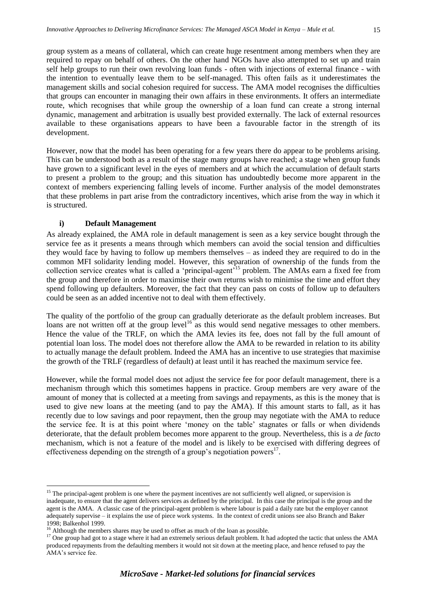group system as a means of collateral, which can create huge resentment among members when they are required to repay on behalf of others. On the other hand NGOs have also attempted to set up and train self help groups to run their own revolving loan funds - often with injections of external finance - with the intention to eventually leave them to be self-managed. This often fails as it underestimates the management skills and social cohesion required for success. The AMA model recognises the difficulties that groups can encounter in managing their own affairs in these environments. It offers an intermediate route, which recognises that while group the ownership of a loan fund can create a strong internal dynamic, management and arbitration is usually best provided externally. The lack of external resources available to these organisations appears to have been a favourable factor in the strength of its development.

However, now that the model has been operating for a few years there do appear to be problems arising. This can be understood both as a result of the stage many groups have reached; a stage when group funds have grown to a significant level in the eyes of members and at which the accumulation of default starts to present a problem to the group; and this situation has undoubtedly become more apparent in the context of members experiencing falling levels of income. Further analysis of the model demonstrates that these problems in part arise from the contradictory incentives, which arise from the way in which it is structured.

# **i) Default Management**

<span id="page-20-0"></span>As already explained, the AMA role in default management is seen as a key service bought through the service fee as it presents a means through which members can avoid the social tension and difficulties they would face by having to follow up members themselves – as indeed they are required to do in the common MFI solidarity lending model. However, this separation of ownership of the funds from the collection service creates what is called a 'principal-agent'<sup>15</sup> problem. The AMAs earn a fixed fee from the group and therefore in order to maximise their own returns wish to minimise the time and effort they spend following up defaulters. Moreover, the fact that they can pass on costs of follow up to defaulters could be seen as an added incentive not to deal with them effectively.

The quality of the portfolio of the group can gradually deteriorate as the default problem increases. But loans are not written off at the group level<sup>16</sup> as this would send negative messages to other members. Hence the value of the TRLF, on which the AMA levies its fee, does not fall by the full amount of potential loan loss. The model does not therefore allow the AMA to be rewarded in relation to its ability to actually manage the default problem. Indeed the AMA has an incentive to use strategies that maximise the growth of the TRLF (regardless of default) at least until it has reached the maximum service fee.

However, while the formal model does not adjust the service fee for poor default management, there is a mechanism through which this sometimes happens in practice. Group members are very aware of the amount of money that is collected at a meeting from savings and repayments, as this is the money that is used to give new loans at the meeting (and to pay the AMA). If this amount starts to fall, as it has recently due to low savings and poor repayment, then the group may negotiate with the AMA to reduce the service fee. It is at this point where 'money on the table' stagnates or falls or when dividends deteriorate, that the default problem becomes more apparent to the group. Nevertheless, this is a *de facto* mechanism, which is not a feature of the model and is likely to be exercised with differing degrees of effectiveness depending on the strength of a group's negotiation powers $17$ .

 $\overline{a}$  $15$  The principal-agent problem is one where the payment incentives are not sufficiently well aligned, or supervision is inadequate, to ensure that the agent delivers services as defined by the principal. In this case the principal is the group and the agent is the AMA. A classic case of the principal-agent problem is where labour is paid a daily rate but the employer cannot adequately supervise – it explains the use of piece work systems. In the context of credit unions see also Branch and Baker 1998; Balkenhol 1999.

<sup>&</sup>lt;sup>16</sup> Although the members shares may be used to offset as much of the loan as possible.

<sup>&</sup>lt;sup>17</sup> One group had got to a stage where it had an extremely serious default problem. It had adopted the tactic that unless the AMA produced repayments from the defaulting members it would not sit down at the meeting place, and hence refused to pay the AMA's service fee.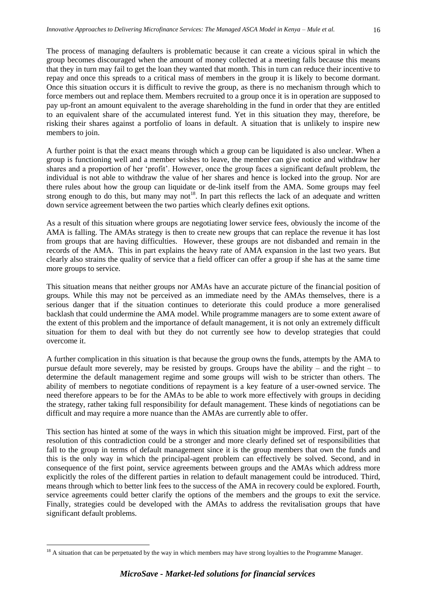The process of managing defaulters is problematic because it can create a vicious spiral in which the group becomes discouraged when the amount of money collected at a meeting falls because this means that they in turn may fail to get the loan they wanted that month. This in turn can reduce their incentive to repay and once this spreads to a critical mass of members in the group it is likely to become dormant. Once this situation occurs it is difficult to revive the group, as there is no mechanism through which to force members out and replace them. Members recruited to a group once it is in operation are supposed to pay up-front an amount equivalent to the average shareholding in the fund in order that they are entitled to an equivalent share of the accumulated interest fund. Yet in this situation they may, therefore, be risking their shares against a portfolio of loans in default. A situation that is unlikely to inspire new members to join.

A further point is that the exact means through which a group can be liquidated is also unclear. When a group is functioning well and a member wishes to leave, the member can give notice and withdraw her shares and a proportion of her 'profit'. However, once the group faces a significant default problem, the individual is not able to withdraw the value of her shares and hence is locked into the group. Nor are there rules about how the group can liquidate or de-link itself from the AMA. Some groups may feel strong enough to do this, but many may not<sup>18</sup>. In part this reflects the lack of an adequate and written down service agreement between the two parties which clearly defines exit options.

As a result of this situation where groups are negotiating lower service fees, obviously the income of the AMA is falling. The AMAs strategy is then to create new groups that can replace the revenue it has lost from groups that are having difficulties. However, these groups are not disbanded and remain in the records of the AMA. This in part explains the heavy rate of AMA expansion in the last two years. But clearly also strains the quality of service that a field officer can offer a group if she has at the same time more groups to service.

This situation means that neither groups nor AMAs have an accurate picture of the financial position of groups. While this may not be perceived as an immediate need by the AMAs themselves, there is a serious danger that if the situation continues to deteriorate this could produce a more generalised backlash that could undermine the AMA model. While programme managers are to some extent aware of the extent of this problem and the importance of default management, it is not only an extremely difficult situation for them to deal with but they do not currently see how to develop strategies that could overcome it.

A further complication in this situation is that because the group owns the funds, attempts by the AMA to pursue default more severely, may be resisted by groups. Groups have the ability – and the right – to determine the default management regime and some groups will wish to be stricter than others. The ability of members to negotiate conditions of repayment is a key feature of a user-owned service. The need therefore appears to be for the AMAs to be able to work more effectively with groups in deciding the strategy, rather taking full responsibility for default management. These kinds of negotiations can be difficult and may require a more nuance than the AMAs are currently able to offer.

This section has hinted at some of the ways in which this situation might be improved. First, part of the resolution of this contradiction could be a stronger and more clearly defined set of responsibilities that fall to the group in terms of default management since it is the group members that own the funds and this is the only way in which the principal-agent problem can effectively be solved. Second, and in consequence of the first point, service agreements between groups and the AMAs which address more explicitly the roles of the different parties in relation to default management could be introduced. Third, means through which to better link fees to the success of the AMA in recovery could be explored. Fourth, service agreements could better clarify the options of the members and the groups to exit the service. Finally, strategies could be developed with the AMAs to address the revitalisation groups that have significant default problems.

 $\overline{a}$ 

 $18$  A situation that can be perpetuated by the way in which members may have strong loyalties to the Programme Manager.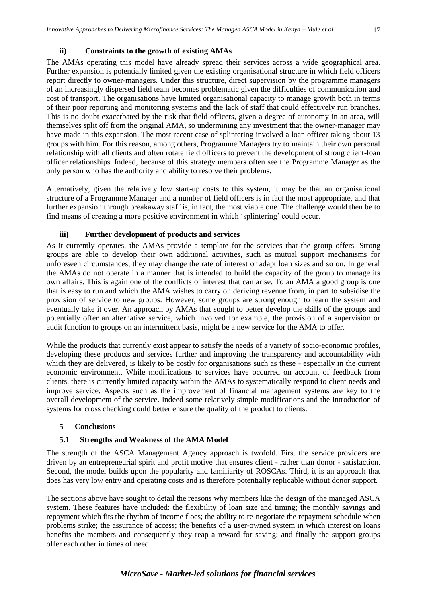<span id="page-22-0"></span>The AMAs operating this model have already spread their services across a wide geographical area. Further expansion is potentially limited given the existing organisational structure in which field officers report directly to owner-managers. Under this structure, direct supervision by the programme managers of an increasingly dispersed field team becomes problematic given the difficulties of communication and cost of transport. The organisations have limited organisational capacity to manage growth both in terms of their poor reporting and monitoring systems and the lack of staff that could effectively run branches. This is no doubt exacerbated by the risk that field officers, given a degree of autonomy in an area, will themselves split off from the original AMA, so undermining any investment that the owner-manager may have made in this expansion. The most recent case of splintering involved a loan officer taking about 13 groups with him. For this reason, among others, Programme Managers try to maintain their own personal relationship with all clients and often rotate field officers to prevent the development of strong client-loan officer relationships. Indeed, because of this strategy members often see the Programme Manager as the only person who has the authority and ability to resolve their problems.

Alternatively, given the relatively low start-up costs to this system, it may be that an organisational structure of a Programme Manager and a number of field officers is in fact the most appropriate, and that further expansion through breakaway staff is, in fact, the most viable one. The challenge would then be to find means of creating a more positive environment in which 'splintering' could occur.

#### **iii) Further development of products and services**

<span id="page-22-1"></span>As it currently operates, the AMAs provide a template for the services that the group offers. Strong groups are able to develop their own additional activities, such as mutual support mechanisms for unforeseen circumstances; they may change the rate of interest or adapt loan sizes and so on. In general the AMAs do not operate in a manner that is intended to build the capacity of the group to manage its own affairs. This is again one of the conflicts of interest that can arise. To an AMA a good group is one that is easy to run and which the AMA wishes to carry on deriving revenue from, in part to subsidise the provision of service to new groups. However, some groups are strong enough to learn the system and eventually take it over. An approach by AMAs that sought to better develop the skills of the groups and potentially offer an alternative service, which involved for example, the provision of a supervision or audit function to groups on an intermittent basis, might be a new service for the AMA to offer.

While the products that currently exist appear to satisfy the needs of a variety of socio-economic profiles, developing these products and services further and improving the transparency and accountability with which they are delivered, is likely to be costly for organisations such as these - especially in the current economic environment. While modifications to services have occurred on account of feedback from clients, there is currently limited capacity within the AMAs to systematically respond to client needs and improve service. Aspects such as the improvement of financial management systems are key to the overall development of the service. Indeed some relatively simple modifications and the introduction of systems for cross checking could better ensure the quality of the product to clients.

## <span id="page-22-2"></span>**5 Conclusions**

## <span id="page-22-3"></span>**5.1 Strengths and Weakness of the AMA Model**

The strength of the ASCA Management Agency approach is twofold. First the service providers are driven by an entrepreneurial spirit and profit motive that ensures client - rather than donor - satisfaction. Second, the model builds upon the popularity and familiarity of ROSCAs. Third, it is an approach that does has very low entry and operating costs and is therefore potentially replicable without donor support.

The sections above have sought to detail the reasons why members like the design of the managed ASCA system. These features have included: the flexibility of loan size and timing; the monthly savings and repayment which fits the rhythm of income floes; the ability to re-negotiate the repayment schedule when problems strike; the assurance of access; the benefits of a user-owned system in which interest on loans benefits the members and consequently they reap a reward for saving; and finally the support groups offer each other in times of need.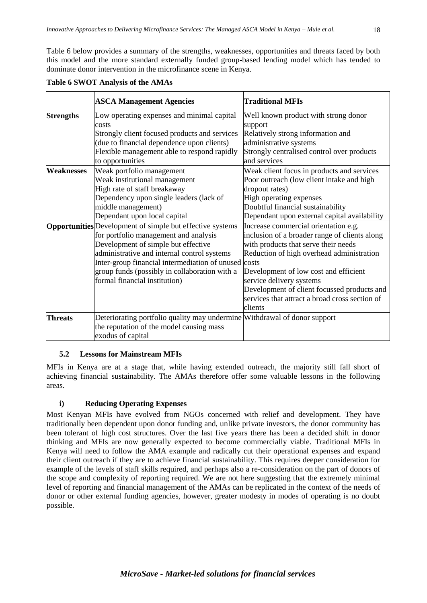Table 6 below provides a summary of the strengths, weaknesses, opportunities and threats faced by both this model and the more standard externally funded group-based lending model which has tended to dominate donor intervention in the microfinance scene in Kenya.

|                   | <b>ASCA Management Agencies</b>                                                                                                                                                                                                                                                                                                           | <b>Traditional MFIs</b>                                                                                                                                                                                                                                                                                                                                     |
|-------------------|-------------------------------------------------------------------------------------------------------------------------------------------------------------------------------------------------------------------------------------------------------------------------------------------------------------------------------------------|-------------------------------------------------------------------------------------------------------------------------------------------------------------------------------------------------------------------------------------------------------------------------------------------------------------------------------------------------------------|
| <b>Strengths</b>  | Low operating expenses and minimal capital<br>costs                                                                                                                                                                                                                                                                                       | Well known product with strong donor<br>support                                                                                                                                                                                                                                                                                                             |
|                   | Strongly client focused products and services                                                                                                                                                                                                                                                                                             | Relatively strong information and                                                                                                                                                                                                                                                                                                                           |
|                   | (due to financial dependence upon clients)                                                                                                                                                                                                                                                                                                | administrative systems                                                                                                                                                                                                                                                                                                                                      |
|                   | Flexible management able to respond rapidly                                                                                                                                                                                                                                                                                               | Strongly centralised control over products                                                                                                                                                                                                                                                                                                                  |
|                   | to opportunities                                                                                                                                                                                                                                                                                                                          | and services                                                                                                                                                                                                                                                                                                                                                |
| <b>Weaknesses</b> | Weak portfolio management                                                                                                                                                                                                                                                                                                                 | Weak client focus in products and services                                                                                                                                                                                                                                                                                                                  |
|                   | Weak institutional management                                                                                                                                                                                                                                                                                                             | Poor outreach (low client intake and high                                                                                                                                                                                                                                                                                                                   |
|                   | High rate of staff breakaway                                                                                                                                                                                                                                                                                                              | dropout rates)                                                                                                                                                                                                                                                                                                                                              |
|                   | Dependency upon single leaders (lack of                                                                                                                                                                                                                                                                                                   | High operating expenses                                                                                                                                                                                                                                                                                                                                     |
|                   | middle management)                                                                                                                                                                                                                                                                                                                        | Doubtful financial sustainability                                                                                                                                                                                                                                                                                                                           |
|                   | Dependant upon local capital                                                                                                                                                                                                                                                                                                              | Dependant upon external capital availability                                                                                                                                                                                                                                                                                                                |
|                   | <b>Opportunities</b> Development of simple but effective systems<br>for portfolio management and analysis<br>Development of simple but effective<br>administrative and internal control systems<br>Inter-group financial intermediation of unused costs<br>group funds (possibly in collaboration with a<br>formal financial institution) | Increase commercial orientation e.g.<br>inclusion of a broader range of clients along<br>with products that serve their needs<br>Reduction of high overhead administration<br>Development of low cost and efficient<br>service delivery systems<br>Development of client focussed products and<br>services that attract a broad cross section of<br>clients |
| <b>Threats</b>    | Deteriorating portfolio quality may undermine Withdrawal of donor support                                                                                                                                                                                                                                                                 |                                                                                                                                                                                                                                                                                                                                                             |
|                   | the reputation of the model causing mass                                                                                                                                                                                                                                                                                                  |                                                                                                                                                                                                                                                                                                                                                             |
|                   | exodus of capital                                                                                                                                                                                                                                                                                                                         |                                                                                                                                                                                                                                                                                                                                                             |

## **Table 6 SWOT Analysis of the AMAs**

## <span id="page-23-0"></span>**5.2 Lessons for Mainstream MFIs**

MFIs in Kenya are at a stage that, while having extended outreach, the majority still fall short of achieving financial sustainability. The AMAs therefore offer some valuable lessons in the following areas.

# **i) Reducing Operating Expenses**

<span id="page-23-1"></span>Most Kenyan MFIs have evolved from NGOs concerned with relief and development. They have traditionally been dependent upon donor funding and, unlike private investors, the donor community has been tolerant of high cost structures. Over the last five years there has been a decided shift in donor thinking and MFIs are now generally expected to become commercially viable. Traditional MFIs in Kenya will need to follow the AMA example and radically cut their operational expenses and expand their client outreach if they are to achieve financial sustainability. This requires deeper consideration for example of the levels of staff skills required, and perhaps also a re-consideration on the part of donors of the scope and complexity of reporting required. We are not here suggesting that the extremely minimal level of reporting and financial management of the AMAs can be replicated in the context of the needs of donor or other external funding agencies, however, greater modesty in modes of operating is no doubt possible.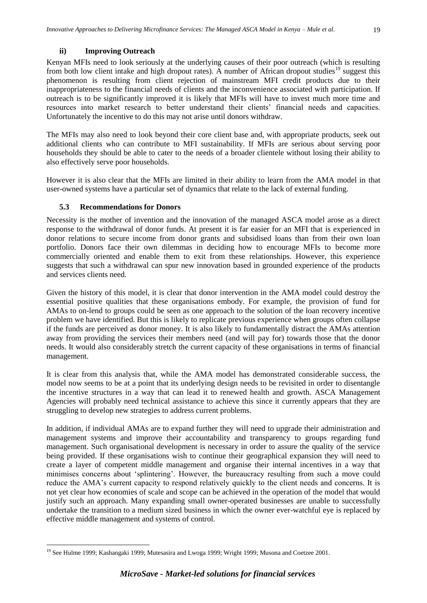#### **ii) Improving Outreach**

<span id="page-24-0"></span>Kenyan MFIs need to look seriously at the underlying causes of their poor outreach (which is resulting from both low client intake and high dropout rates). A number of African dropout studies<sup>19</sup> suggest this phenomenon is resulting from client rejection of mainstream MFI credit products due to their inappropriateness to the financial needs of clients and the inconvenience associated with participation. If outreach is to be significantly improved it is likely that MFIs will have to invest much more time and resources into market research to better understand their clients' financial needs and capacities. Unfortunately the incentive to do this may not arise until donors withdraw.

The MFIs may also need to look beyond their core client base and, with appropriate products, seek out additional clients who can contribute to MFI sustainability. If MFIs are serious about serving poor households they should be able to cater to the needs of a broader clientele without losing their ability to also effectively serve poor households.

However it is also clear that the MFIs are limited in their ability to learn from the AMA model in that user-owned systems have a particular set of dynamics that relate to the lack of external funding.

#### <span id="page-24-1"></span>**5.3 Recommendations for Donors**

 $\overline{a}$ 

Necessity is the mother of invention and the innovation of the managed ASCA model arose as a direct response to the withdrawal of donor funds. At present it is far easier for an MFI that is experienced in donor relations to secure income from donor grants and subsidised loans than from their own loan portfolio. Donors face their own dilemmas in deciding how to encourage MFIs to become more commercially oriented and enable them to exit from these relationships. However, this experience suggests that such a withdrawal can spur new innovation based in grounded experience of the products and services clients need.

Given the history of this model, it is clear that donor intervention in the AMA model could destroy the essential positive qualities that these organisations embody. For example, the provision of fund for AMAs to on-lend to groups could be seen as one approach to the solution of the loan recovery incentive problem we have identified. But this is likely to replicate previous experience when groups often collapse if the funds are perceived as donor money. It is also likely to fundamentally distract the AMAs attention away from providing the services their members need (and will pay for) towards those that the donor needs. It would also considerably stretch the current capacity of these organisations in terms of financial management.

It is clear from this analysis that, while the AMA model has demonstrated considerable success, the model now seems to be at a point that its underlying design needs to be revisited in order to disentangle the incentive structures in a way that can lead it to renewed health and growth. ASCA Management Agencies will probably need technical assistance to achieve this since it currently appears that they are struggling to develop new strategies to address current problems.

In addition, if individual AMAs are to expand further they will need to upgrade their administration and management systems and improve their accountability and transparency to groups regarding fund management. Such organisational development is necessary in order to assure the quality of the service being provided. If these organisations wish to continue their geographical expansion they will need to create a layer of competent middle management and organise their internal incentives in a way that minimises concerns about 'splintering'. However, the bureaucracy resulting from such a move could reduce the AMA's current capacity to respond relatively quickly to the client needs and concerns. It is not yet clear how economies of scale and scope can be achieved in the operation of the model that would justify such an approach. Many expanding small owner-operated businesses are unable to successfully undertake the transition to a medium sized business in which the owner ever-watchful eye is replaced by effective middle management and systems of control.

<sup>&</sup>lt;sup>19</sup> See Hulme 1999; Kashangaki 1999; Mutesasira and Lwoga 1999; Wright 1999; Musona and Coetzee 2001.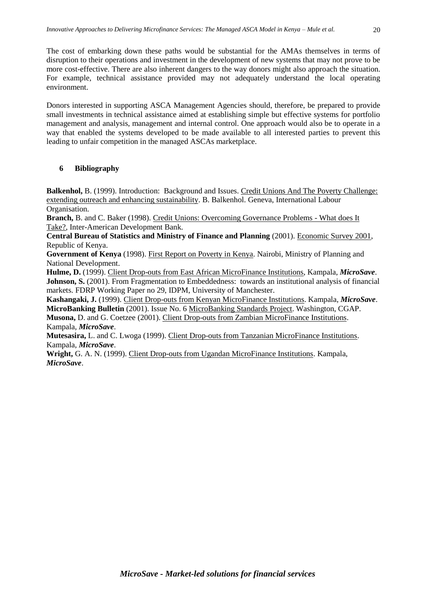The cost of embarking down these paths would be substantial for the AMAs themselves in terms of disruption to their operations and investment in the development of new systems that may not prove to be more cost-effective. There are also inherent dangers to the way donors might also approach the situation. For example, technical assistance provided may not adequately understand the local operating

Donors interested in supporting ASCA Management Agencies should, therefore, be prepared to provide small investments in technical assistance aimed at establishing simple but effective systems for portfolio management and analysis, management and internal control. One approach would also be to operate in a way that enabled the systems developed to be made available to all interested parties to prevent this leading to unfair competition in the managed ASCAs marketplace.

## <span id="page-25-0"></span>**6 Bibliography**

environment.

**Balkenhol,** B. (1999). Introduction: Background and Issues. Credit Unions And The Poverty Challenge: extending outreach and enhancing sustainability. B. Balkenhol. Geneva, International Labour Organisation.

**Branch,** B. and C. Baker (1998). Credit Unions: Overcoming Governance Problems - What does It Take?, Inter-American Development Bank.

**Central Bureau of Statistics and Ministry of Finance and Planning** (2001). Economic Survey 2001, Republic of Kenya.

**Government of Kenya** (1998). First Report on Poverty in Kenya. Nairobi, Ministry of Planning and National Development.

**Hulme, D.** (1999). Client Drop-outs from East African MicroFinance Institutions, Kampala, *MicroSave*. **Johnson, S.** (2001). From Fragmentation to Embeddedness: towards an institutional analysis of financial markets. FDRP Working Paper no 29, IDPM, University of Manchester.

**Kashangaki, J.** (1999). Client Drop-outs from Kenyan MicroFinance Institutions. Kampala, *MicroSave*. **MicroBanking Bulletin** (2001). Issue No. 6 MicroBanking Standards Project. Washington, CGAP.

**Musona,** D. and G. Coetzee (2001). Client Drop-outs from Zambian MicroFinance Institutions. Kampala, *MicroSave*.

**Mutesasira,** L. and C. Lwoga (1999). Client Drop-outs from Tanzanian MicroFinance Institutions. Kampala, *MicroSave*.

**Wright,** G. A. N. (1999). Client Drop-outs from Ugandan MicroFinance Institutions. Kampala, *MicroSave*.